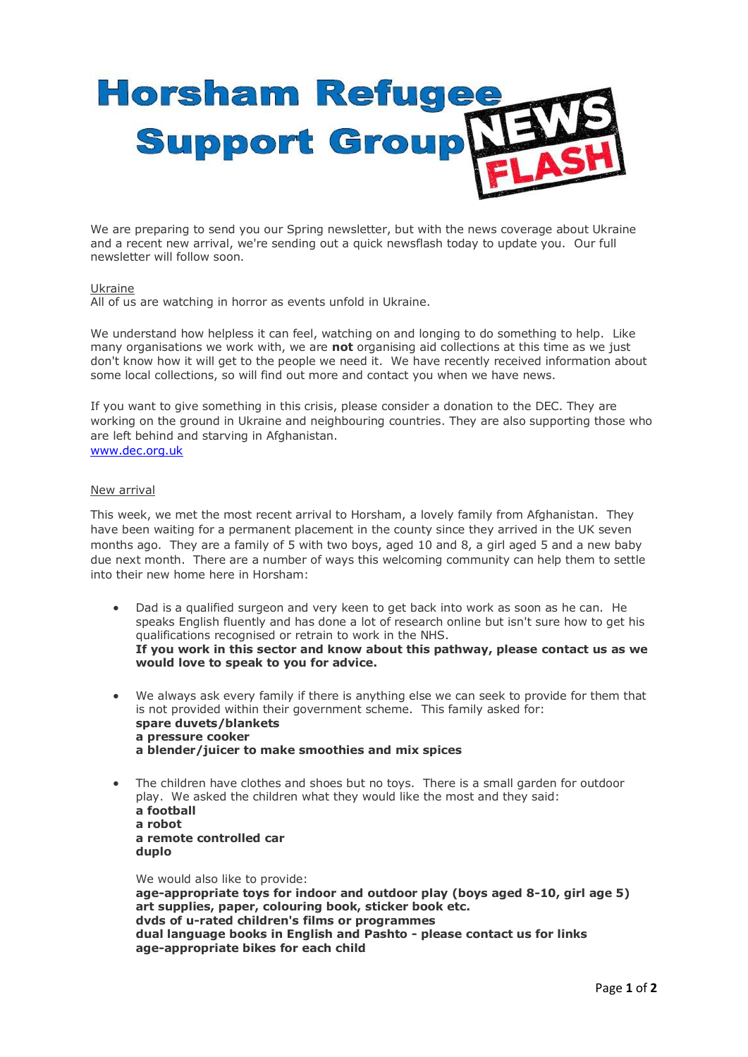## **Horsham Refugee Support Group**

We are preparing to send you our Spring newsletter, but with the news coverage about Ukraine and a recent new arrival, we're sending out a quick newsflash today to update you. Our full newsletter will follow soon.

## Ukraine

All of us are watching in horror as events unfold in Ukraine.

We understand how helpless it can feel, watching on and longing to do something to help. Like many organisations we work with, we are **not** organising aid collections at this time as we just don't know how it will get to the people we need it. We have recently received information about some local collections, so will find out more and contact you when we have news.

If you want to give something in this crisis, please consider a donation to the DEC. They are working on the ground in Ukraine and neighbouring countries. They are also supporting those who are left behind and starving in Afghanistan. [www.dec.org.uk](http://www.dec.org.uk/) 

## New arrival

This week, we met the most recent arrival to Horsham, a lovely family from Afghanistan. They have been waiting for a permanent placement in the county since they arrived in the UK seven months ago. They are a family of 5 with two boys, aged 10 and 8, a girl aged 5 and a new baby due next month. There are a number of ways this welcoming community can help them to settle into their new home here in Horsham:

- Dad is a qualified surgeon and very keen to get back into work as soon as he can. He speaks English fluently and has done a lot of research online but isn't sure how to get his qualifications recognised or retrain to work in the NHS. **If you work in this sector and know about this pathway, please contact us as we would love to speak to you for advice.**
- We always ask every family if there is anything else we can seek to provide for them that is not provided within their government scheme. This family asked for: **spare duvets/blankets a pressure cooker a blender/juicer to make smoothies and mix spices**
- The children have clothes and shoes but no toys. There is a small garden for outdoor play. We asked the children what they would like the most and they said: **a football a robot a remote controlled car duplo**

We would also like to provide: **age-appropriate toys for indoor and outdoor play (boys aged 8-10, girl age 5) art supplies, paper, colouring book, sticker book etc. dvds of u-rated children's films or programmes dual language books in English and Pashto - please contact us for links age-appropriate bikes for each child**